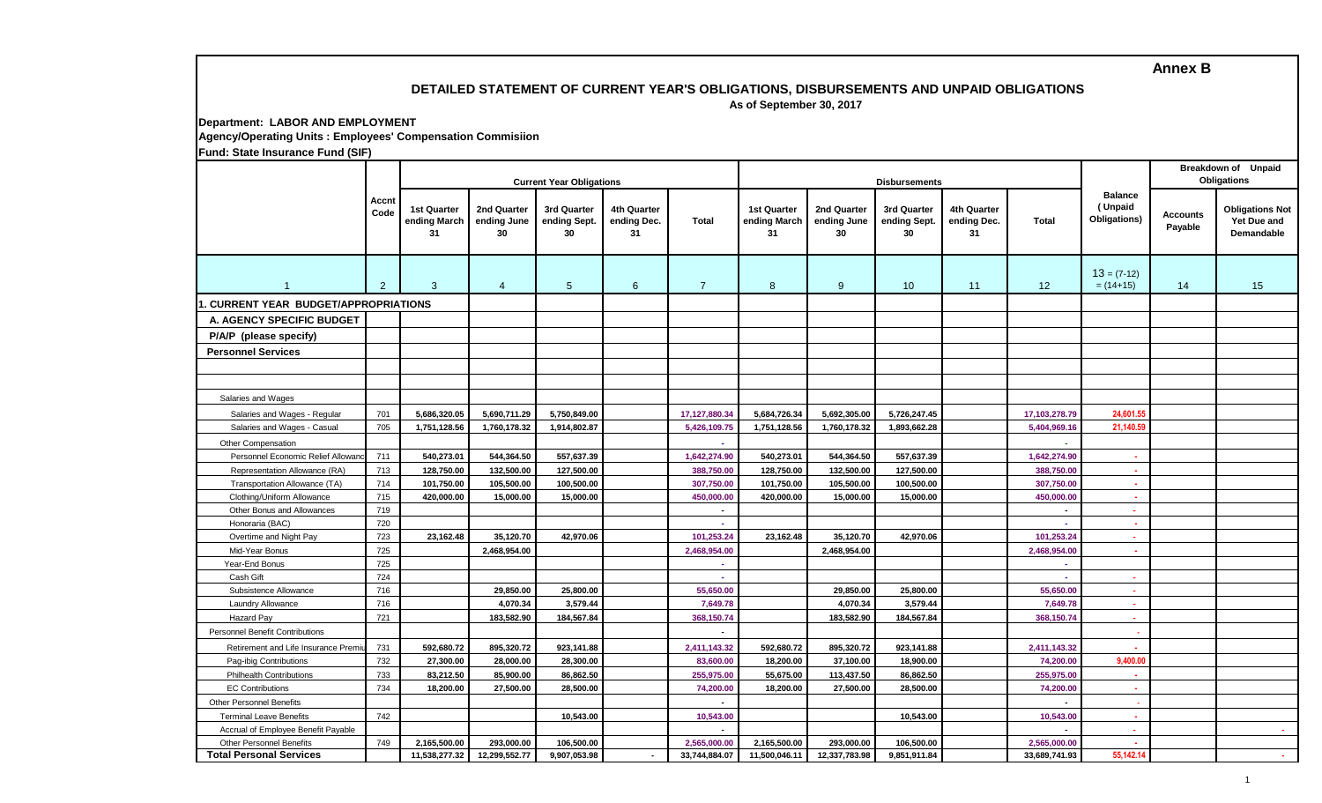# **DETAILED STATEMENT OF CURRENT YEAR'S OBLIGATIONS, DISBURSEMENTS AND UNPAID OBLIGATIONS**

 **As of September 30, 2017**

## **Department: LABOR AND EMPLOYMENT Agency/Operating Units : Employees' Compensation Commisiion**

**Fund: State Insurance Fund (SIF)**

|                                                           |               | <b>Current Year Obligations</b>          |                                  |                                   |                                  |                         |                                          |                                  | <b>Disbursements</b>              |                                  | Breakdown of Unpaid<br><b>Obligations</b> |                                           |                            |                                                     |
|-----------------------------------------------------------|---------------|------------------------------------------|----------------------------------|-----------------------------------|----------------------------------|-------------------------|------------------------------------------|----------------------------------|-----------------------------------|----------------------------------|-------------------------------------------|-------------------------------------------|----------------------------|-----------------------------------------------------|
|                                                           | Accnt<br>Code | <b>1st Quarter</b><br>ending March<br>31 | 2nd Quarter<br>ending June<br>30 | 3rd Quarter<br>ending Sept.<br>30 | 4th Quarter<br>ending Dec.<br>31 | Total                   | <b>1st Quarter</b><br>ending March<br>31 | 2nd Quarter<br>ending June<br>30 | 3rd Quarter<br>ending Sept.<br>30 | 4th Quarter<br>ending Dec.<br>31 | <b>Total</b>                              | <b>Balance</b><br>(Unpaid<br>Obligations) | <b>Accounts</b><br>Payable | <b>Obligations Not</b><br>Yet Due and<br>Demandable |
| 1                                                         | 2             | 3                                        | $\overline{4}$                   | $5\phantom{.0}$                   | $6\overline{6}$                  | $\overline{7}$          | 8                                        | 9                                | 10                                | 11                               | 12                                        | $13 = (7-12)$<br>$= (14+15)$              | 14                         | 15                                                  |
| <b>CURRENT YEAR BUDGET/APPROPRIATIONS</b>                 |               |                                          |                                  |                                   |                                  |                         |                                          |                                  |                                   |                                  |                                           |                                           |                            |                                                     |
| A. AGENCY SPECIFIC BUDGET                                 |               |                                          |                                  |                                   |                                  |                         |                                          |                                  |                                   |                                  |                                           |                                           |                            |                                                     |
| P/A/P (please specify)                                    |               |                                          |                                  |                                   |                                  |                         |                                          |                                  |                                   |                                  |                                           |                                           |                            |                                                     |
|                                                           |               |                                          |                                  |                                   |                                  |                         |                                          |                                  |                                   |                                  |                                           |                                           |                            |                                                     |
| <b>Personnel Services</b>                                 |               |                                          |                                  |                                   |                                  |                         |                                          |                                  |                                   |                                  |                                           |                                           |                            |                                                     |
|                                                           |               |                                          |                                  |                                   |                                  |                         |                                          |                                  |                                   |                                  |                                           |                                           |                            |                                                     |
|                                                           |               |                                          |                                  |                                   |                                  |                         |                                          |                                  |                                   |                                  |                                           |                                           |                            |                                                     |
| Salaries and Wages                                        |               |                                          |                                  |                                   |                                  |                         |                                          |                                  |                                   |                                  |                                           |                                           |                            |                                                     |
| Salaries and Wages - Regular                              | 701           | 5,686,320.05                             | 5,690,711.29                     | 5,750,849.00                      |                                  | 17,127,880.34           | 5,684,726.34                             | 5,692,305.00                     | 5,726,247.45                      |                                  | 17,103,278.79                             | 24,601.55                                 |                            |                                                     |
| Salaries and Wages - Casual                               | 705           | 1,751,128.56                             | 1,760,178.32                     | 1,914,802.87                      |                                  | 5,426,109.75            | 1,751,128.56                             | 1,760,178.32                     | 1,893,662.28                      |                                  | 5,404,969.16                              | 21,140.59                                 |                            |                                                     |
| Other Compensation                                        |               |                                          |                                  |                                   |                                  |                         |                                          |                                  |                                   |                                  |                                           |                                           |                            |                                                     |
| Personnel Economic Relief Allowar                         | 711           | 540,273.01                               | 544,364.50                       | 557,637.39                        |                                  | 1,642,274.90            | 540,273.01                               | 544,364.50                       | 557,637.39                        |                                  | 1,642,274.90                              | $\sim$                                    |                            |                                                     |
| Representation Allowance (RA)                             | 713           | 128,750.00                               | 132,500.00                       | 127.500.00                        |                                  | 388,750.00              | 128,750.00                               | 132,500.00                       | 127,500.00                        |                                  | 388.750.00                                | $\sim$                                    |                            |                                                     |
| Transportation Allowance (TA)                             | 714           | 101,750.00                               | 105,500.00                       | 100,500.00                        |                                  | 307,750.00              | 101,750.00                               | 105,500.00                       | 100,500.00                        |                                  | 307,750.00                                | o.                                        |                            |                                                     |
| Clothing/Uniform Allowance                                | 715           | 420,000.00                               | 15,000.00                        | 15,000.00                         |                                  | 450,000.00              | 420.000.00                               | 15,000.00                        | 15,000.00                         |                                  | 450,000.00                                | $\sim$                                    |                            |                                                     |
| Other Bonus and Allowances                                | 719           |                                          |                                  |                                   |                                  | $\blacksquare$          |                                          |                                  |                                   |                                  |                                           | ×.                                        |                            |                                                     |
| Honoraria (BAC)                                           | 720           |                                          |                                  |                                   |                                  | $\sim$                  |                                          |                                  |                                   |                                  | $\sim$                                    | $\sim$                                    |                            |                                                     |
| Overtime and Night Pay                                    | 723           | 23,162.48                                | 35,120.70                        | 42,970.06                         |                                  | 101,253.24              | 23,162.48                                | 35,120.70                        | 42,970.06                         |                                  | 101,253.24                                | х.                                        |                            |                                                     |
| Mid-Year Bonus                                            | 725           |                                          | 2,468,954.00                     |                                   |                                  | 2,468,954.00            |                                          | 2,468,954.00                     |                                   |                                  | 2,468,954.00                              | A.                                        |                            |                                                     |
| Year-End Bonus                                            | 725           |                                          |                                  |                                   |                                  | $\sim$                  |                                          |                                  |                                   |                                  | $\sim$                                    |                                           |                            |                                                     |
| Cash Gift                                                 | 724           |                                          |                                  |                                   |                                  |                         |                                          |                                  |                                   |                                  |                                           | $\sim$                                    |                            |                                                     |
| Subsistence Allowance                                     | 716           |                                          | 29,850.00                        | 25,800.00                         |                                  | 55,650.00               |                                          | 29,850.00                        | 25,800.00                         |                                  | 55,650.00                                 | $\sim$                                    |                            |                                                     |
| Laundry Allowance<br><b>Hazard Pay</b>                    | 716<br>721    |                                          | 4,070.34<br>183,582.90           | 3,579.44<br>184,567.84            |                                  | 7,649.78<br>368,150.74  |                                          | 4,070.34<br>183,582.90           | 3,579.44<br>184,567.84            |                                  | 7,649.78<br>368,150.74                    | $\sim$<br>$\sim$                          |                            |                                                     |
| <b>Personnel Benefit Contributions</b>                    |               |                                          |                                  |                                   |                                  | $\blacksquare$          |                                          |                                  |                                   |                                  |                                           |                                           |                            |                                                     |
|                                                           |               |                                          |                                  |                                   |                                  |                         |                                          |                                  |                                   |                                  |                                           |                                           |                            |                                                     |
| Retirement and Life Insurance Premi                       | 731           | 592,680.72                               | 895,320.72                       | 923,141.88                        |                                  | 2,411,143.32            | 592,680.72                               | 895,320.72                       | 923,141.88                        |                                  | 2,411,143.32                              | 9,400.00                                  |                            |                                                     |
| Pag-ibig Contributions<br><b>Philhealth Contributions</b> | 732<br>733    | 27,300.00                                | 28,000.00                        | 28,300.00<br>86,862.50            |                                  | 83,600.00               | 18,200.00<br>55,675.00                   | 37,100.00                        | 18,900.00<br>86,862.50            |                                  | 74,200.00                                 |                                           |                            |                                                     |
| <b>EC Contributions</b>                                   | 734           | 83,212.50<br>18,200.00                   | 85,900.00<br>27,500.00           | 28,500.00                         |                                  | 255,975.00<br>74,200.00 | 18,200.00                                | 113,437.50<br>27,500.00          | 28,500.00                         |                                  | 255,975.00<br>74,200.00                   | $\sim$<br>×.                              |                            |                                                     |
| <b>Other Personnel Benefits</b>                           |               |                                          |                                  |                                   |                                  |                         |                                          |                                  |                                   |                                  |                                           |                                           |                            |                                                     |
| <b>Terminal Leave Benefits</b>                            | 742           |                                          |                                  | 10,543.00                         |                                  | 10,543.00               |                                          |                                  | 10,543.00                         |                                  | 10,543.00                                 | ÷.                                        |                            |                                                     |
| Accrual of Employee Benefit Payable                       |               |                                          |                                  |                                   |                                  |                         |                                          |                                  |                                   |                                  |                                           |                                           |                            |                                                     |
| <b>Other Personnel Benefits</b>                           | 749           | 2,165,500.00                             | 293,000.00                       | 106,500.00                        |                                  | 2,565,000.00            | 2,165,500.00                             | 293,000.00                       | 106,500.00                        |                                  | 2,565,000.00                              |                                           |                            |                                                     |
| <b>Total Personal Services</b>                            |               | 11,538,277.32                            | 12,299,552.77                    | 9,907,053.98                      | $\blacksquare$                   | 33,744,884.07           | 11,500,046.11                            | 12,337,783.98                    | 9,851,911.84                      |                                  | 33,689,741.93                             | 55.142.14                                 |                            | <b>COL</b>                                          |
|                                                           |               |                                          |                                  |                                   |                                  |                         |                                          |                                  |                                   |                                  |                                           |                                           |                            |                                                     |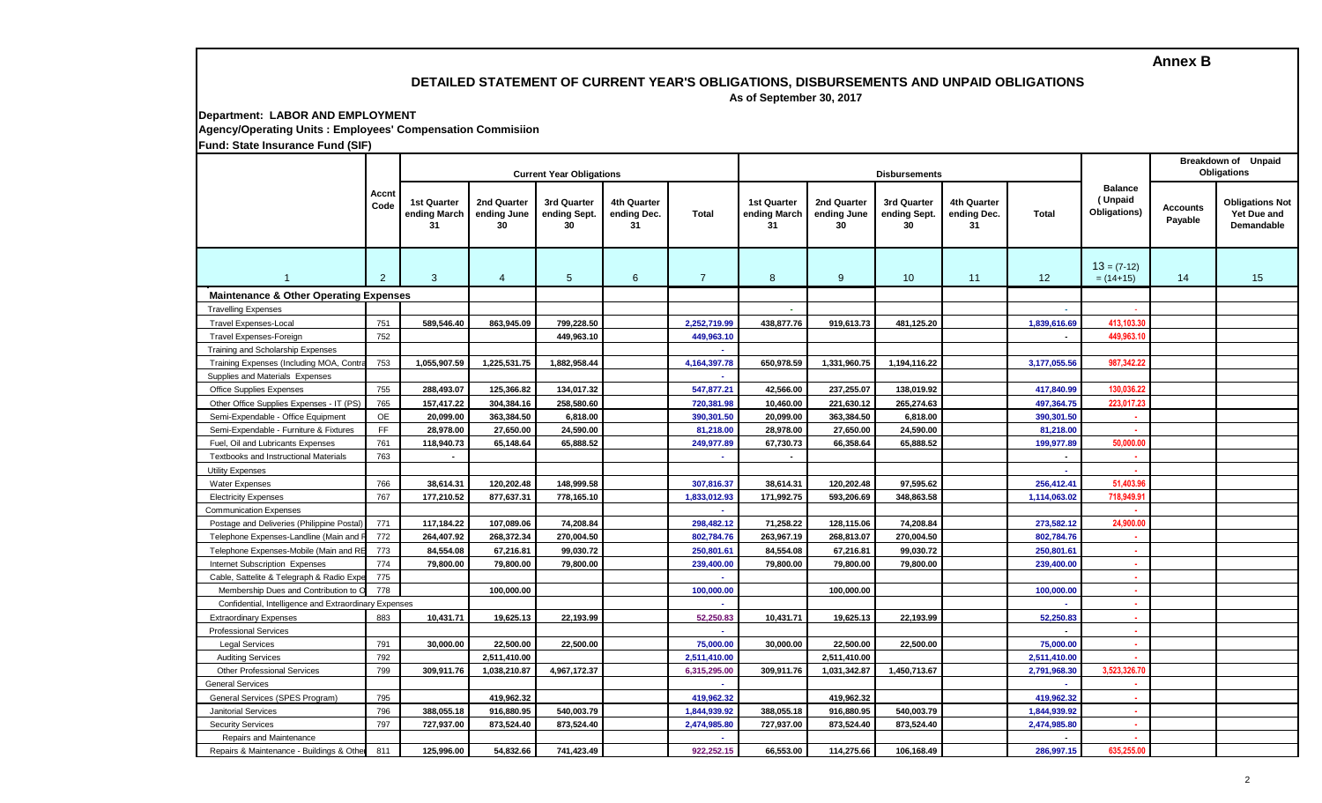### **DETAILED STATEMENT OF CURRENT YEAR'S OBLIGATIONS, DISBURSEMENTS AND UNPAID OBLIGATIONS**

 **As of September 30, 2017**

#### **Department: LABOR AND EMPLOYMENT Agency/Operating Units : Employees' Compensation Commisiion Fund: State Insurance Fund (SIF)**

1 2 3 4 5 6 7 8 9 10 11 12  $13 = (7-12)$  $= (14+15)$  14 15 **Accnt Code Current Year Obligations Current Year Obligations Balance ( Unpaid Obligations) Total Accounts Breakdown of Unpaid Obligations 1st Quarter ending March 31 2nd Quarter ending June 30 4th Quarter ending Dec. 31 Payable Obligations Not Yet Due and Demandable 2nd Quarter ending June 30 3rd Quarter ending Sept. 30 3rd Quarter ending Sept. 30 4th Quarter ending Dec. 31 Total 1st Quarter ending March 31 Maintenance & Other Operating Expenses**  Travelling Expenses **- -** - Travel Expenses-Local (w/ Cash Advance) Travel Expenses-Local 751 **589,546.40 863,945.09 799,228.50 2,252,719.99 438,877.76 919,613.73 481,125.20 1,839,616.69 413,103.30** Travel Expenses-Foreign (C/A subject to Liquidation) Travel Expenses-Foreign 752 **449,963.10 449,963.10 - 449,963.10 -** Training Expenses Training Expenses (Including MOA, Contract, CA) 753 **1,055,907.59 1,225,531.75 1,882,958.44 4,164,397.78 650,978.59 1,331,960.75 1,194,116.22 3,177,055.56 987,342.22 -** Office Supplies Expenses **Contact 125** 288,493.07 125,366.82 134,017.32 547,877.21 42,566.00 237,255.07 138,019.92 417,840.99 130,036.2 Other Office Supplies Expenses - IT Other Office Supplies Expenses - IT (PS) 765 **157,417.22 304,384.16 258,580.60 720,381.98 10,460.00 221,630.12 265,274.63 497,364.75 223,017.23** Semi-Expendable - Office Equipment OE **20,099.00 363,384.50 6,818.00 390,301.50 20,099.00 363,384.50 6,818.00 390,301.50 -** Semi-Expendable - Furniture & Fixtures FF **28,978.00 27,650.00 24,590.00 81,218.00 28,978.00 27,650.00 24,590.00 81,218.00 -** Fuel, Oil and Lubricants Expenses Fuel, Oil and Lubricants Expenses 761 **118,940.73 65,148.64 65,888.52 249,977.89 67,730.73 66,358.64 65,888.52 199,977.89 50,000.00** Textbooks and Instructional Materials **Textbooks and Instructional Materials Textbooks and Instructional Materials Textbooks and Instructional Materials Textbooks and Instructional Materials Textbooks and Instructional Mat - -** Water Expenses 766 **38,614.31 120,202.48 148,999.58 307,816.37 38,614.31 120,202.48 97,595.62 256,412.41 51,403.96** Electricity Expenses 767 **177,210.52 877,637.31 778,165.10 1,833,012.93 171,992.75 593,206.69 348,863.58 1,114,063.02 718,949.91 - -** Postage and Deliveries (Philippine Postal) 771 **117,184.22 107,089.06 74,208.84 298,482.12 71,258.22 128,115.06 74,208.84 273,582.12 24,900.00** Telephone Expenses-Landline (Main and R 772 264,407.92 268,372.34 270,004.50 802,784.76 263,967.19 268,813.07 270,004.50 802,784.76 Telephone Expenses-Mobile (Main and REUs)773 **84,554.08 67,216.81 99,030.72 250,801.61 84,554.08 67,216.81 99,030.72 250,801.61 -** Internet Subscription Expenses 774 **79,800.00 79,800.00 79,800.00 239,400.00 79,800.00 79,800.00 79,800.00 239,400.00 -** Cable, Sattelite & Telegraph & Radio Expe<sup>775</sup> Membership Dues and Contribution to Organization to Organization 100,000.00 **100,000.00** 100,000.00 **100,000.00** 100,000.00 **100,000.00** 100,000.00 Confidential, Intelligence and Extraordinary Expenses Extraordinary Expenses 883 **10,431.71 19,625.13 22,193.99 52,250.83 10,431.71 19,625.13 22,193.99 52,250.83 -** Professional Services **- - -** Legal Services 791 **30,000.00 22,500.00 22,500.00 75,000.00 30,000.00 22,500.00 22,500.00 75,000.00 -** Auditing Services 792 **2,511,410.00 2,511,410.00 2,511,410.00 2,511,410.00 -** Other Professional Services 799 **309,911.76 1,038,210.87 4,967,172.37 6,315,295.00 309,911.76 1,031,342.87 1,450,713.67 2,791,968.30 3,523,326.70** General Services **- - -** General Services (SPES Program) 795 **419,962.32 419,962.32 419,962.32 419,962.32 -** Janitorial Services 796 **388,055.18 916,880.95 540,003.79 1,844,939.92 388,055.18 916,880.95 540,003.79 1,844,939.92 -** Security Services 797 **727,937.00 873,524.40 873,524.40 2,474,985.80 727,937.00 873,524.40 873,524.40 2,474,985.80 -** Repairs and Maintenance **- - -** Repairs & Maintenance - Buildings & Other Structures Repairs and Maintenance - Buildings and Other Structures 811 **125,996.00 54,832.66 741,423.49 922,252.15 66,553.00 114,275.66 106,168.49 286,997.15 635,255.00** Training and Scholarship Expenses Supplies and Materials Expenses Utility Expenses Communication Expenses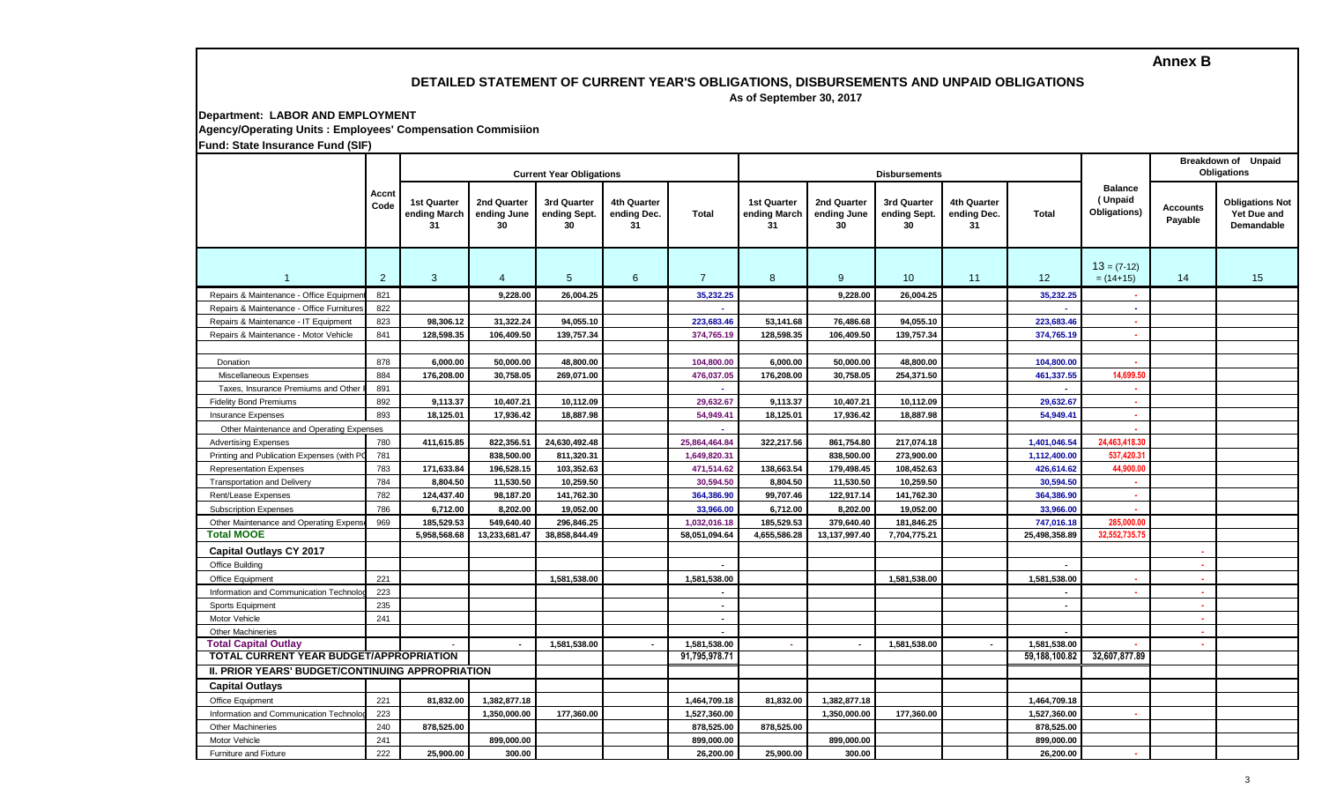## **DETAILED STATEMENT OF CURRENT YEAR'S OBLIGATIONS, DISBURSEMENTS AND UNPAID OBLIGATIONS**

 **As of September 30, 2017**

**Department: LABOR AND EMPLOYMENT Agency/Operating Units : Employees' Compensation Commisiion Fund: State Insurance Fund (SIF)**

|                                                  |                |                                          | <b>Current Year Obligations</b>  |                                   |                                  |                | <b>Disbursements</b>              |                                  | <b>Breakdown of Unpaid</b><br>Obligations |                                  |                |                                           |                            |                                                     |
|--------------------------------------------------|----------------|------------------------------------------|----------------------------------|-----------------------------------|----------------------------------|----------------|-----------------------------------|----------------------------------|-------------------------------------------|----------------------------------|----------------|-------------------------------------------|----------------------------|-----------------------------------------------------|
|                                                  | Accnt<br>Code  | <b>1st Quarter</b><br>ending March<br>31 | 2nd Quarter<br>ending June<br>30 | 3rd Quarter<br>ending Sept.<br>30 | 4th Quarter<br>ending Dec.<br>31 | <b>Total</b>   | 1st Quarter<br>ending March<br>31 | 2nd Quarter<br>ending June<br>30 | 3rd Quarter<br>ending Sept.<br>30         | 4th Quarter<br>ending Dec.<br>31 | Total          | <b>Balance</b><br>(Unpaid<br>Obligations) | <b>Accounts</b><br>Payable | <b>Obligations Not</b><br>Yet Due and<br>Demandable |
|                                                  | $\overline{2}$ | 3                                        | $\overline{4}$                   | $5\overline{)}$                   | 6                                | $\overline{7}$ | 8                                 | 9                                | 10                                        | 11                               | 12             | $13 = (7-12)$<br>$= (14+15)$              | 14                         | 15                                                  |
| Repairs & Maintenance - Office Equipme           | 821            |                                          | 9.228.00                         | 26,004.25                         |                                  | 35,232.25      |                                   | 9,228.00                         | 26,004.25                                 |                                  | 35,232.25      |                                           |                            |                                                     |
| Repairs & Maintenance - Office Furniture         | 822            |                                          |                                  |                                   |                                  |                |                                   |                                  |                                           |                                  |                | ÷.                                        |                            |                                                     |
| Repairs & Maintenance - IT Equipment             | 823            | 98.306.12                                | 31.322.24                        | 94.055.10                         |                                  | 223,683.46     | 53,141.68                         | 76,486.68                        | 94,055.10                                 |                                  | 223.683.46     | <b>A</b>                                  |                            |                                                     |
| Repairs & Maintenance - Motor Vehicle            | 841            | 128,598.35                               | 106,409.50                       | 139,757.34                        |                                  | 374,765.19     | 128,598.35                        | 106,409.50                       | 139,757.34                                |                                  | 374,765.19     | $\sim$                                    |                            |                                                     |
|                                                  |                |                                          |                                  |                                   |                                  |                |                                   |                                  |                                           |                                  |                |                                           |                            |                                                     |
| <b>Donation</b>                                  | 878            | 6.000.00                                 | 50.000.00                        | 48,800.00                         |                                  | 104,800.00     | 6,000.00                          | 50,000.00                        | 48,800.00                                 |                                  | 104,800.00     |                                           |                            |                                                     |
| Miscellaneous Expenses                           | 884            | 176,208.00                               | 30,758.05                        | 269,071.00                        |                                  | 476,037.05     | 176,208.00                        | 30,758.05                        | 254,371.50                                |                                  | 461,337.55     | 14,699.50                                 |                            |                                                     |
| Taxes, Insurance Premiums and Other              | 891            |                                          |                                  |                                   |                                  |                |                                   |                                  |                                           |                                  |                |                                           |                            |                                                     |
| <b>Fidelity Bond Premiums</b>                    | 892            | 9,113.37                                 | 10,407.21                        | 10,112.09                         |                                  | 29.632.67      | 9,113.37                          | 10,407.21                        | 10,112.09                                 |                                  | 29,632.67      | $\sim$                                    |                            |                                                     |
| <b>Insurance Expenses</b>                        | 893            | 18,125.01                                | 17,936.42                        | 18,887.98                         |                                  | 54,949.41      | 18,125.01                         | 17,936.42                        | 18,887.98                                 |                                  | 54,949.41      | $\sim$                                    |                            |                                                     |
| Other Maintenance and Operating Expenses         |                |                                          |                                  |                                   |                                  |                |                                   |                                  |                                           |                                  |                |                                           |                            |                                                     |
| <b>Advertising Expenses</b>                      | 780            | 411,615.85                               | 822,356.51                       | 24,630,492.48                     |                                  | 25,864,464.84  | 322,217.56                        | 861,754.80                       | 217,074.18                                |                                  | 1,401,046.54   | 24,463,418.30                             |                            |                                                     |
| Printing and Publication Expenses (with P        | 781            |                                          | 838,500.00                       | 811,320.31                        |                                  | 1,649,820.31   |                                   | 838,500.00                       | 273,900.00                                |                                  | 1,112,400.00   | 537,420.3                                 |                            |                                                     |
| <b>Representation Expenses</b>                   | 783            | 171,633.84                               | 196,528.15                       | 103,352.63                        |                                  | 471,514.62     | 138,663.54                        | 179,498.45                       | 108,452.63                                |                                  | 426,614.62     | 44,900.00                                 |                            |                                                     |
| <b>Transportation and Delivery</b>               | 784            | 8,804.50                                 | 11,530.50                        | 10,259.50                         |                                  | 30,594.50      | 8,804.50                          | 11,530.50                        | 10,259.50                                 |                                  | 30,594.50      | $\sim$                                    |                            |                                                     |
| Rent/Lease Expenses                              | 782            | 124,437.40                               | 98,187.20                        | 141,762.30                        |                                  | 364,386.90     | 99,707.46                         | 122,917.14                       | 141,762.30                                |                                  | 364,386.90     |                                           |                            |                                                     |
| <b>Subscription Expenses</b>                     | 786            | 6,712.00                                 | 8,202.00                         | 19.052.00                         |                                  | 33,966.00      | 6,712.00                          | 8,202.00                         | 19,052.00                                 |                                  | 33,966.00      |                                           |                            |                                                     |
| Other Maintenance and Operating Expens           | 969            | 185,529.53                               | 549,640.40                       | 296,846.25                        |                                  | 1,032,016.18   | 185,529.53                        | 379,640.40                       | 181,846.25                                |                                  | 747,016.18     | 285,000.00                                |                            |                                                     |
| <b>Total MOOE</b>                                |                | 5.958.568.68                             | 13,233,681.47                    | 38.858.844.49                     |                                  | 58,051,094.64  | 4,655,586.28                      | 13,137,997.40                    | 7,704,775.21                              |                                  | 25.498.358.89  | 32.552.735.75                             |                            |                                                     |
| <b>Capital Outlays CY 2017</b>                   |                |                                          |                                  |                                   |                                  |                |                                   |                                  |                                           |                                  |                |                                           | $\bullet$                  |                                                     |
| Office Building                                  |                |                                          |                                  |                                   |                                  |                |                                   |                                  |                                           |                                  |                |                                           | $\sim$                     |                                                     |
| Office Equipment                                 | 221            |                                          |                                  | 1,581,538.00                      |                                  | 1,581,538.00   |                                   |                                  | 1,581,538.00                              |                                  | 1,581,538.00   | $\sim$                                    | $\sim$                     |                                                     |
| Information and Communication Technolo           | 223            |                                          |                                  |                                   |                                  |                |                                   |                                  |                                           |                                  |                | $\sim$                                    | 14                         |                                                     |
| Sports Equipment                                 | 235            |                                          |                                  |                                   |                                  | $\sim$         |                                   |                                  |                                           |                                  | $\blacksquare$ |                                           | $\sim$                     |                                                     |
| Motor Vehicle                                    | 241            |                                          |                                  |                                   |                                  | $\sim$         |                                   |                                  |                                           |                                  |                |                                           | ×.                         |                                                     |
| <b>Other Machineries</b>                         |                |                                          |                                  |                                   |                                  | $\sim$         |                                   |                                  |                                           |                                  |                |                                           | o.                         |                                                     |
| <b>Total Capital Outlay</b>                      |                |                                          |                                  | 1,581,538.00                      |                                  | 1,581,538.00   | ÷.                                |                                  | 1,581,538.00                              | $\sim$                           | 1,581,538.00   |                                           | $\sim$                     |                                                     |
| TOTAL CURRENT YEAR BUDGET/APPROPRIATION          |                |                                          |                                  | 91,795,978.71                     |                                  |                |                                   |                                  | 59,188,100.82                             | 32,607,877.89                    |                |                                           |                            |                                                     |
| II. PRIOR YEARS' BUDGET/CONTINUING APPROPRIATION |                |                                          |                                  |                                   |                                  |                |                                   |                                  |                                           |                                  |                |                                           |                            |                                                     |
| <b>Capital Outlays</b>                           |                |                                          |                                  |                                   |                                  |                |                                   |                                  |                                           |                                  |                |                                           |                            |                                                     |
| Office Equipment                                 | 221            | 81,832.00                                | 1,382,877.18                     |                                   |                                  | 1,464,709.18   | 81,832.00                         | 1,382,877.18                     |                                           |                                  | 1,464,709.18   |                                           |                            |                                                     |
| Information and Communication Technold           | 223            |                                          | 1,350,000.00                     | 177,360.00                        |                                  | 1,527,360.00   |                                   | 1,350,000.00                     | 177,360.00                                |                                  | 1,527,360.00   |                                           |                            |                                                     |
| <b>Other Machineries</b>                         | 240            | 878,525.00                               |                                  |                                   |                                  | 878,525.00     | 878,525.00                        |                                  |                                           |                                  | 878,525.00     |                                           |                            |                                                     |
| Motor Vehicle                                    | 241            |                                          | 899,000.00                       |                                   |                                  | 899,000.00     |                                   | 899,000.00                       |                                           |                                  | 899,000.00     |                                           |                            |                                                     |
| <b>Furniture and Fixture</b>                     | 222            | 25.900.00                                | 300.00                           |                                   |                                  | 26,200.00      | 25.900.00                         | 300.00                           |                                           |                                  | 26.200.00      |                                           |                            |                                                     |